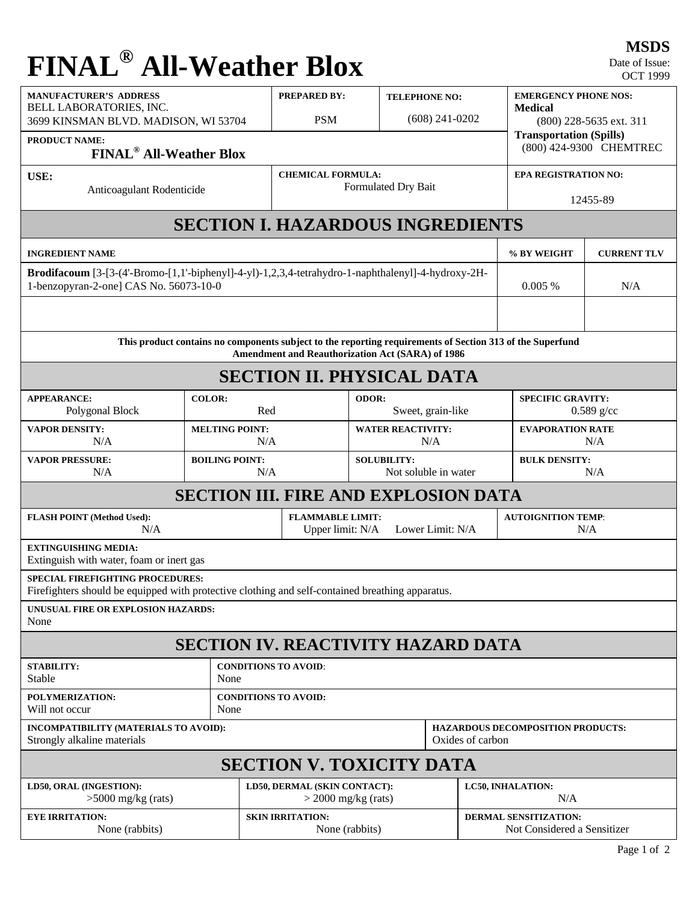## **FINAL® All-Weather Blox**

| <b>MANUFACTURER'S ADDRESS</b><br>BELL LABORATORIES, INC.<br>3699 KINSMAN BLVD. MADISON, WI 53704<br><b>PRODUCT NAME:</b> |                                                                                                                                                                                                                                                                                                                                                                                                                                                                                                                                                                                                                                              | <b>PREPARED BY:</b><br><b>PSM</b>                | <b>TELEPHONE NO:</b><br>$(608)$ 241-0202                        |                      | <b>EMERGENCY PHONE NOS:</b><br><b>Medical</b><br>$(800)$ 228-5635 ext. 311<br><b>Transportation (Spills)</b> |                                  |  |
|--------------------------------------------------------------------------------------------------------------------------|----------------------------------------------------------------------------------------------------------------------------------------------------------------------------------------------------------------------------------------------------------------------------------------------------------------------------------------------------------------------------------------------------------------------------------------------------------------------------------------------------------------------------------------------------------------------------------------------------------------------------------------------|--------------------------------------------------|-----------------------------------------------------------------|----------------------|--------------------------------------------------------------------------------------------------------------|----------------------------------|--|
|                                                                                                                          | (800) 424-9300 CHEMTREC                                                                                                                                                                                                                                                                                                                                                                                                                                                                                                                                                                                                                      |                                                  |                                                                 |                      |                                                                                                              |                                  |  |
| <b>USE:</b>                                                                                                              |                                                                                                                                                                                                                                                                                                                                                                                                                                                                                                                                                                                                                                              | <b>CHEMICAL FORMULA:</b><br>Formulated Dry Bait  |                                                                 | EPA REGISTRATION NO: |                                                                                                              |                                  |  |
|                                                                                                                          | <b>FINAL<sup>®</sup></b> All-Weather Blox<br>Anticoagulant Rodenticide<br><b>SECTION I. HAZARDOUS INGREDIENTS</b><br>Brodifacoum [3-[3-(4'-Bromo-[1,1'-biphenyl]-4-yl)-1,2,3,4-tetrahydro-1-naphthalenyl]-4-hydroxy-2H-<br>This product contains no components subject to the reporting requirements of Section 313 of the Superfund<br><b>COLOR:</b><br><b>MELTING POINT:</b><br>N/A<br><b>BOILING POINT:</b><br>N/A<br><b>SECTION III. FIRE AND EXPLOSION DATA</b><br>N/A<br>Firefighters should be equipped with protective clothing and self-contained breathing apparatus.<br><b>SECTION IV. REACTIVITY HAZARD DATA</b><br>None<br>None |                                                  |                                                                 |                      | 12455-89                                                                                                     |                                  |  |
|                                                                                                                          |                                                                                                                                                                                                                                                                                                                                                                                                                                                                                                                                                                                                                                              |                                                  |                                                                 |                      |                                                                                                              |                                  |  |
| INGREDIENT NAME                                                                                                          |                                                                                                                                                                                                                                                                                                                                                                                                                                                                                                                                                                                                                                              | % BY WEIGHT                                      | <b>CURRENT TLV</b>                                              |                      |                                                                                                              |                                  |  |
| 1-benzopyran-2-one] CAS No. 56073-10-0                                                                                   | 0.005%                                                                                                                                                                                                                                                                                                                                                                                                                                                                                                                                                                                                                                       | N/A                                              |                                                                 |                      |                                                                                                              |                                  |  |
|                                                                                                                          |                                                                                                                                                                                                                                                                                                                                                                                                                                                                                                                                                                                                                                              |                                                  |                                                                 |                      |                                                                                                              |                                  |  |
|                                                                                                                          |                                                                                                                                                                                                                                                                                                                                                                                                                                                                                                                                                                                                                                              | Amendment and Reauthorization Act (SARA) of 1986 |                                                                 |                      |                                                                                                              |                                  |  |
|                                                                                                                          |                                                                                                                                                                                                                                                                                                                                                                                                                                                                                                                                                                                                                                              | <b>SECTION II. PHYSICAL DATA</b>                 |                                                                 |                      |                                                                                                              |                                  |  |
| <b>APPEARANCE:</b><br>Polygonal Block<br>Red                                                                             |                                                                                                                                                                                                                                                                                                                                                                                                                                                                                                                                                                                                                                              |                                                  | <b>ODOR:</b><br>Sweet, grain-like                               |                      | <b>SPECIFIC GRAVITY:</b><br>$0.589$ g/cc                                                                     |                                  |  |
| <b>VAPOR DENSITY:</b>                                                                                                    | N/A                                                                                                                                                                                                                                                                                                                                                                                                                                                                                                                                                                                                                                          |                                                  | <b>WATER REACTIVITY:</b><br>N/A                                 |                      | <b>EVAPORATION RATE</b><br>N/A                                                                               |                                  |  |
| <b>VAPOR PRESSURE:</b><br>N/A                                                                                            |                                                                                                                                                                                                                                                                                                                                                                                                                                                                                                                                                                                                                                              |                                                  | <b>SOLUBILITY:</b><br>Not soluble in water                      |                      | <b>BULK DENSITY:</b><br>N/A                                                                                  |                                  |  |
|                                                                                                                          |                                                                                                                                                                                                                                                                                                                                                                                                                                                                                                                                                                                                                                              |                                                  |                                                                 |                      |                                                                                                              |                                  |  |
| <b>FLASH POINT (Method Used):</b>                                                                                        |                                                                                                                                                                                                                                                                                                                                                                                                                                                                                                                                                                                                                                              |                                                  | <b>FLAMMABLE LIMIT:</b><br>Upper limit: N/A<br>Lower Limit: N/A |                      |                                                                                                              | <b>AUTOIGNITION TEMP:</b><br>N/A |  |
| EXTINGUISHING MEDIA:<br>Extinguish with water, foam or inert gas                                                         |                                                                                                                                                                                                                                                                                                                                                                                                                                                                                                                                                                                                                                              |                                                  |                                                                 |                      |                                                                                                              |                                  |  |
| <b>SPECIAL FIREFIGHTING PROCEDURES:</b>                                                                                  |                                                                                                                                                                                                                                                                                                                                                                                                                                                                                                                                                                                                                                              |                                                  |                                                                 |                      |                                                                                                              |                                  |  |
| UNUSUAL FIRE OR EXPLOSION HAZARDS:<br>None                                                                               |                                                                                                                                                                                                                                                                                                                                                                                                                                                                                                                                                                                                                                              |                                                  |                                                                 |                      |                                                                                                              |                                  |  |
|                                                                                                                          |                                                                                                                                                                                                                                                                                                                                                                                                                                                                                                                                                                                                                                              |                                                  |                                                                 |                      |                                                                                                              |                                  |  |
| STABILITY:<br>Stable                                                                                                     |                                                                                                                                                                                                                                                                                                                                                                                                                                                                                                                                                                                                                                              | <b>CONDITIONS TO AVOID:</b>                      |                                                                 |                      |                                                                                                              |                                  |  |
| POLYMERIZATION:<br>Will not occur                                                                                        | <b>CONDITIONS TO AVOID:</b>                                                                                                                                                                                                                                                                                                                                                                                                                                                                                                                                                                                                                  |                                                  |                                                                 |                      |                                                                                                              |                                  |  |
| INCOMPATIBILITY (MATERIALS TO AVOID):<br>Strongly alkaline materials                                                     |                                                                                                                                                                                                                                                                                                                                                                                                                                                                                                                                                                                                                                              |                                                  |                                                                 | Oxides of carbon     | <b>HAZARDOUS DECOMPOSITION PRODUCTS:</b>                                                                     |                                  |  |
|                                                                                                                          |                                                                                                                                                                                                                                                                                                                                                                                                                                                                                                                                                                                                                                              | <b>SECTION V. TOXICITY DATA</b>                  |                                                                 |                      |                                                                                                              |                                  |  |
| LD50, ORAL (INGESTION):<br>$>5000$ mg/kg (rats)                                                                          |                                                                                                                                                                                                                                                                                                                                                                                                                                                                                                                                                                                                                                              |                                                  | LD50, DERMAL (SKIN CONTACT):<br>$>$ 2000 mg/kg (rats)           |                      | <b>LC50, INHALATION:</b><br>N/A                                                                              |                                  |  |
| <b>EYE IRRITATION:</b><br>None (rabbits)                                                                                 |                                                                                                                                                                                                                                                                                                                                                                                                                                                                                                                                                                                                                                              | <b>SKIN IRRITATION:</b><br>None (rabbits)        |                                                                 |                      | <b>DERMAL SENSITIZATION:</b><br>Not Considered a Sensitizer                                                  |                                  |  |

**MSDS**

Date of Issue: OCT 1999